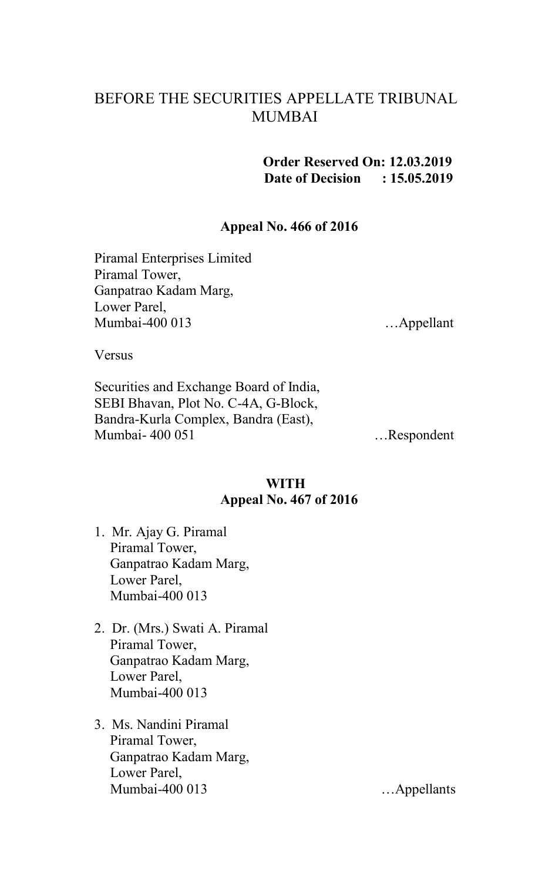# BEFORE THE SECURITIES APPELLATE TRIBUNAL MUMBAI

**Order Reserved On: 12.03.2019 Date of Decision : 15.05.2019**

#### **Appeal No. 466 of 2016**

Piramal Enterprises Limited Piramal Tower, Ganpatrao Kadam Marg, Lower Parel, Mumbai-400 013 …Appellant

**Versus** 

Securities and Exchange Board of India, SEBI Bhavan, Plot No. C-4A, G-Block, Bandra-Kurla Complex, Bandra (East), Mumbai- 400 051 …Respondent

### **WITH Appeal No. 467 of 2016**

- 1. Mr. Ajay G. Piramal Piramal Tower, Ganpatrao Kadam Marg, Lower Parel, Mumbai-400 013
- 2. Dr. (Mrs.) Swati A. Piramal Piramal Tower, Ganpatrao Kadam Marg, Lower Parel, Mumbai-400 013
- 3. Ms. Nandini Piramal Piramal Tower, Ganpatrao Kadam Marg, Lower Parel, Mumbai-400 013 ... Appellants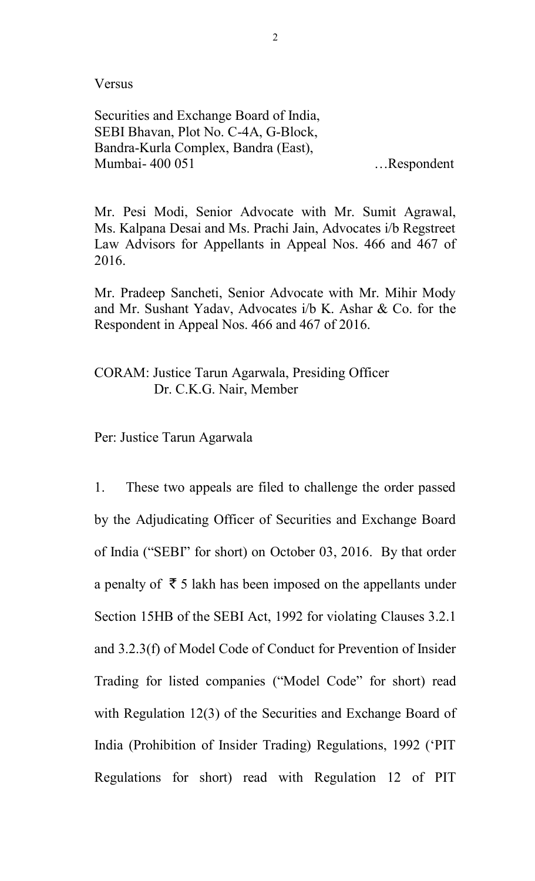Versus

Securities and Exchange Board of India, SEBI Bhavan, Plot No. C-4A, G-Block, Bandra-Kurla Complex, Bandra (East), Mumbai- 400 051 …Respondent

Mr. Pesi Modi, Senior Advocate with Mr. Sumit Agrawal, Ms. Kalpana Desai and Ms. Prachi Jain, Advocates i/b Regstreet Law Advisors for Appellants in Appeal Nos. 466 and 467 of 2016.

Mr. Pradeep Sancheti, Senior Advocate with Mr. Mihir Mody and Mr. Sushant Yadav, Advocates i/b K. Ashar & Co. for the Respondent in Appeal Nos. 466 and 467 of 2016.

CORAM: Justice Tarun Agarwala, Presiding Officer Dr. C.K.G. Nair, Member

Per: Justice Tarun Agarwala

1. These two appeals are filed to challenge the order passed by the Adjudicating Officer of Securities and Exchange Board of India ("SEBI" for short) on October 03, 2016. By that order a penalty of  $\bar{\tau}$  5 lakh has been imposed on the appellants under Section 15HB of the SEBI Act, 1992 for violating Clauses 3.2.1 and 3.2.3(f) of Model Code of Conduct for Prevention of Insider Trading for listed companies ("Model Code" for short) read with Regulation 12(3) of the Securities and Exchange Board of India (Prohibition of Insider Trading) Regulations, 1992 ('PIT Regulations for short) read with Regulation 12 of PIT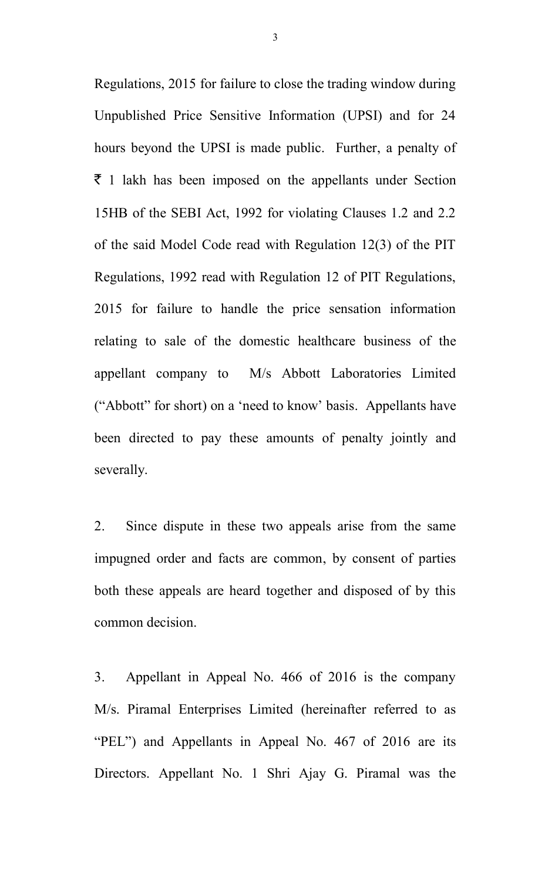Regulations, 2015 for failure to close the trading window during Unpublished Price Sensitive Information (UPSI) and for 24 hours beyond the UPSI is made public. Further, a penalty of  $\bar{\tau}$  1 lakh has been imposed on the appellants under Section 15HB of the SEBI Act, 1992 for violating Clauses 1.2 and 2.2 of the said Model Code read with Regulation 12(3) of the PIT Regulations, 1992 read with Regulation 12 of PIT Regulations, 2015 for failure to handle the price sensation information relating to sale of the domestic healthcare business of the appellant company to M/s Abbott Laboratories Limited ("Abbott" for short) on a 'need to know' basis. Appellants have been directed to pay these amounts of penalty jointly and severally.

2. Since dispute in these two appeals arise from the same impugned order and facts are common, by consent of parties both these appeals are heard together and disposed of by this common decision.

3. Appellant in Appeal No. 466 of 2016 is the company M/s. Piramal Enterprises Limited (hereinafter referred to as "PEL") and Appellants in Appeal No. 467 of 2016 are its Directors. Appellant No. 1 Shri Ajay G. Piramal was the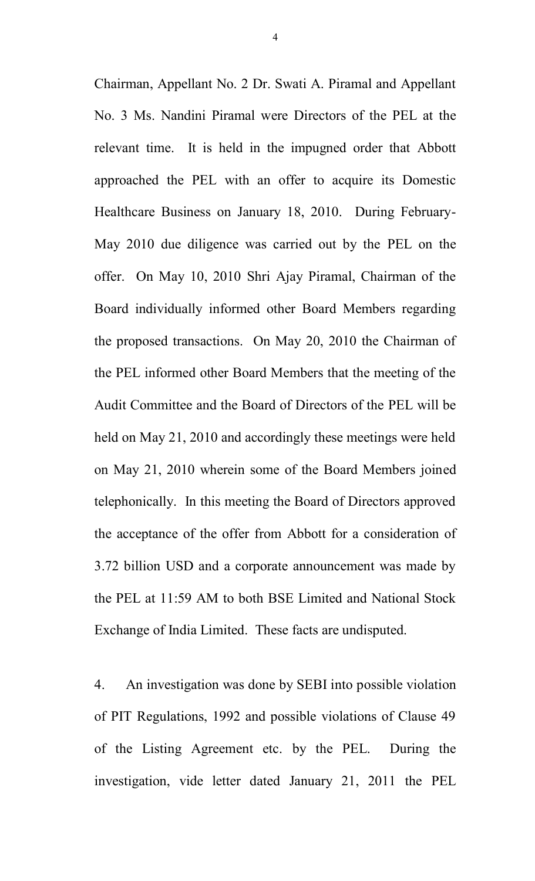Chairman, Appellant No. 2 Dr. Swati A. Piramal and Appellant No. 3 Ms. Nandini Piramal were Directors of the PEL at the relevant time. It is held in the impugned order that Abbott approached the PEL with an offer to acquire its Domestic Healthcare Business on January 18, 2010. During February-May 2010 due diligence was carried out by the PEL on the offer. On May 10, 2010 Shri Ajay Piramal, Chairman of the Board individually informed other Board Members regarding the proposed transactions. On May 20, 2010 the Chairman of the PEL informed other Board Members that the meeting of the Audit Committee and the Board of Directors of the PEL will be held on May 21, 2010 and accordingly these meetings were held on May 21, 2010 wherein some of the Board Members joined telephonically. In this meeting the Board of Directors approved the acceptance of the offer from Abbott for a consideration of 3.72 billion USD and a corporate announcement was made by the PEL at 11:59 AM to both BSE Limited and National Stock Exchange of India Limited. These facts are undisputed.

4. An investigation was done by SEBI into possible violation of PIT Regulations, 1992 and possible violations of Clause 49 of the Listing Agreement etc. by the PEL. During the investigation, vide letter dated January 21, 2011 the PEL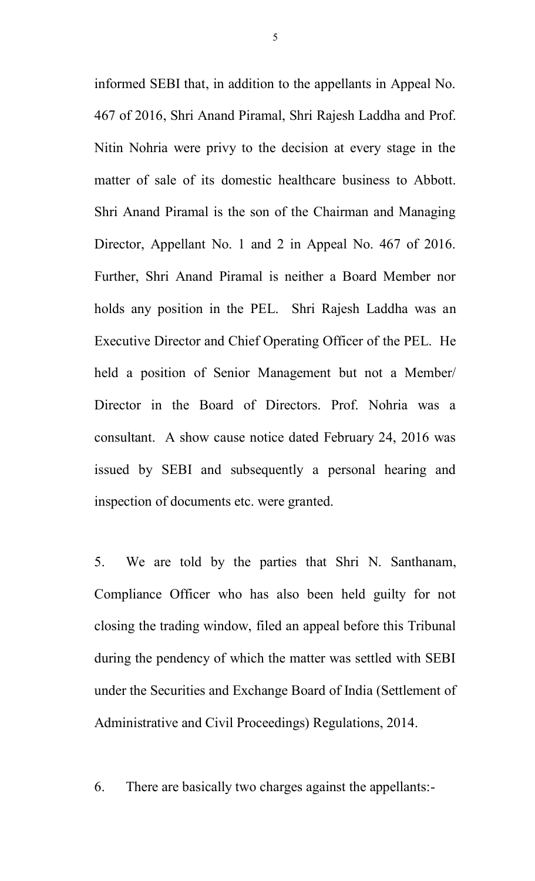informed SEBI that, in addition to the appellants in Appeal No. 467 of 2016, Shri Anand Piramal, Shri Rajesh Laddha and Prof. Nitin Nohria were privy to the decision at every stage in the matter of sale of its domestic healthcare business to Abbott. Shri Anand Piramal is the son of the Chairman and Managing Director, Appellant No. 1 and 2 in Appeal No. 467 of 2016. Further, Shri Anand Piramal is neither a Board Member nor holds any position in the PEL. Shri Rajesh Laddha was an Executive Director and Chief Operating Officer of the PEL. He held a position of Senior Management but not a Member/ Director in the Board of Directors. Prof. Nohria was a consultant. A show cause notice dated February 24, 2016 was issued by SEBI and subsequently a personal hearing and inspection of documents etc. were granted.

5. We are told by the parties that Shri N. Santhanam, Compliance Officer who has also been held guilty for not closing the trading window, filed an appeal before this Tribunal during the pendency of which the matter was settled with SEBI under the Securities and Exchange Board of India (Settlement of Administrative and Civil Proceedings) Regulations, 2014.

6. There are basically two charges against the appellants:-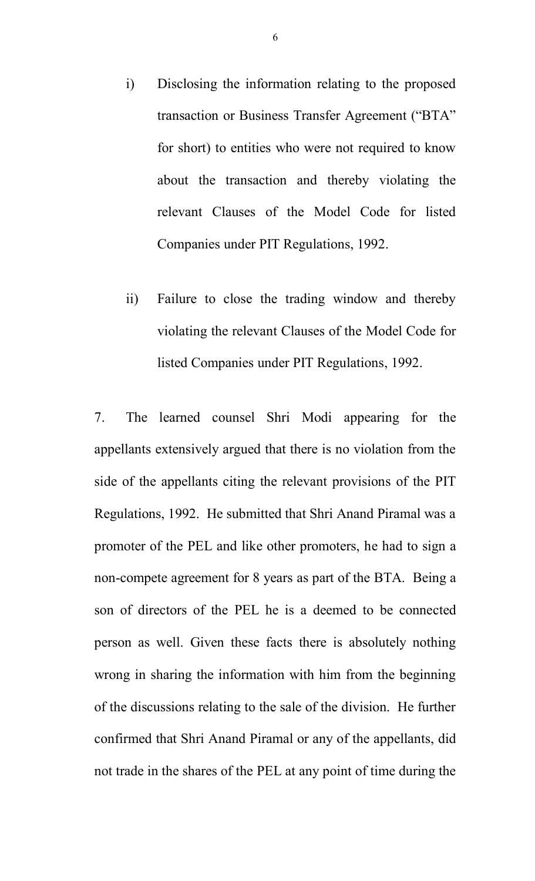- i) Disclosing the information relating to the proposed transaction or Business Transfer Agreement ("BTA" for short) to entities who were not required to know about the transaction and thereby violating the relevant Clauses of the Model Code for listed Companies under PIT Regulations, 1992.
- ii) Failure to close the trading window and thereby violating the relevant Clauses of the Model Code for listed Companies under PIT Regulations, 1992.

7. The learned counsel Shri Modi appearing for the appellants extensively argued that there is no violation from the side of the appellants citing the relevant provisions of the PIT Regulations, 1992. He submitted that Shri Anand Piramal was a promoter of the PEL and like other promoters, he had to sign a non-compete agreement for 8 years as part of the BTA. Being a son of directors of the PEL he is a deemed to be connected person as well. Given these facts there is absolutely nothing wrong in sharing the information with him from the beginning of the discussions relating to the sale of the division. He further confirmed that Shri Anand Piramal or any of the appellants, did not trade in the shares of the PEL at any point of time during the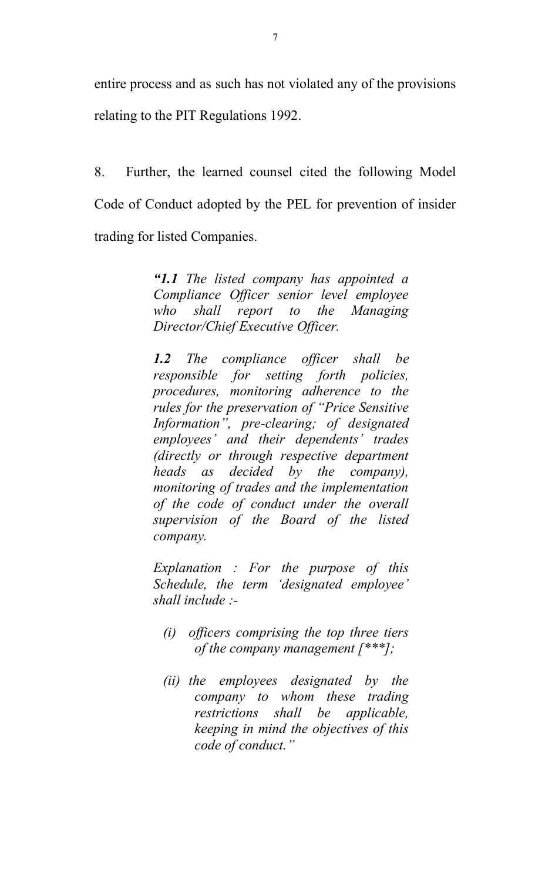entire process and as such has not violated any of the provisions relating to the PIT Regulations 1992.

8. Further, the learned counsel cited the following Model Code of Conduct adopted by the PEL for prevention of insider trading for listed Companies.

> *"1.1 The listed company has appointed a Compliance Officer senior level employee who shall report to the Managing Director/Chief Executive Officer.*

> *1.2 The compliance officer shall be responsible for setting forth policies, procedures, monitoring adherence to the rules for the preservation of "Price Sensitive Information", pre-clearing; of designated employees' and their dependents' trades (directly or through respective department heads as decided by the company), monitoring of trades and the implementation of the code of conduct under the overall supervision of the Board of the listed company.*

> *Explanation : For the purpose of this Schedule, the term 'designated employee' shall include :-*

- *(i) officers comprising the top three tiers of the company management [\*\*\*];*
- *(ii) the employees designated by the company to whom these trading restrictions shall be applicable, keeping in mind the objectives of this code of conduct."*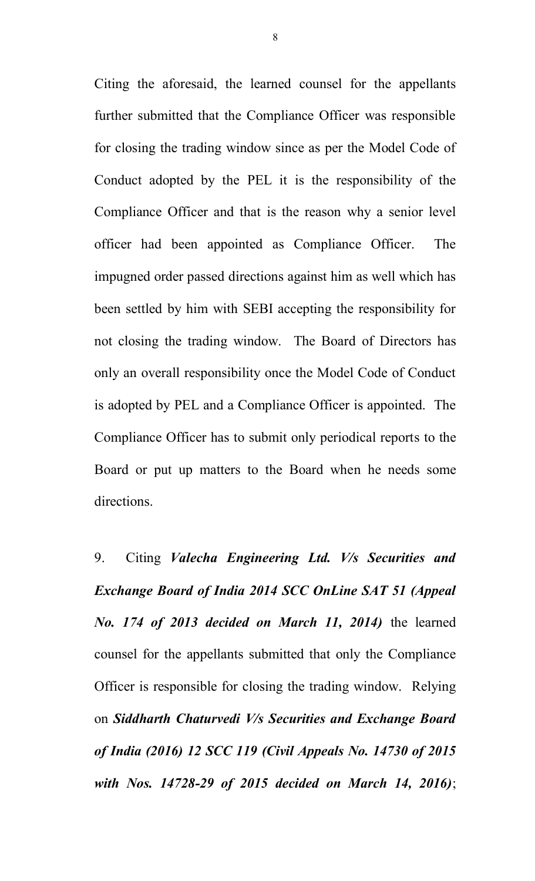Citing the aforesaid, the learned counsel for the appellants further submitted that the Compliance Officer was responsible for closing the trading window since as per the Model Code of Conduct adopted by the PEL it is the responsibility of the Compliance Officer and that is the reason why a senior level officer had been appointed as Compliance Officer. The impugned order passed directions against him as well which has been settled by him with SEBI accepting the responsibility for not closing the trading window. The Board of Directors has only an overall responsibility once the Model Code of Conduct is adopted by PEL and a Compliance Officer is appointed. The Compliance Officer has to submit only periodical reports to the Board or put up matters to the Board when he needs some directions.

9. Citing *Valecha Engineering Ltd. V/s Securities and Exchange Board of India 2014 SCC OnLine SAT 51 (Appeal No. 174 of 2013 decided on March 11, 2014)* the learned counsel for the appellants submitted that only the Compliance Officer is responsible for closing the trading window. Relying on *Siddharth Chaturvedi V/s Securities and Exchange Board of India (2016) 12 SCC 119 (Civil Appeals No. 14730 of 2015 with Nos. 14728-29 of 2015 decided on March 14, 2016)*;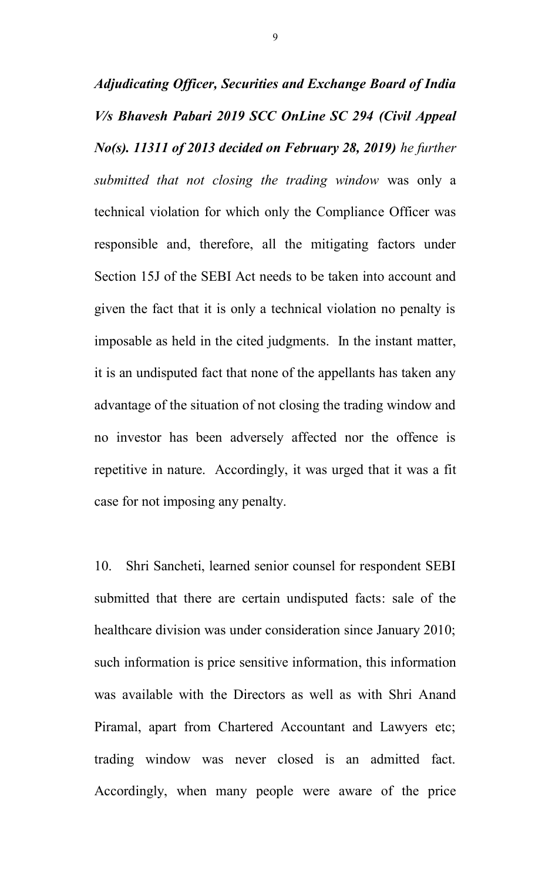*Adjudicating Officer, Securities and Exchange Board of India V/s Bhavesh Pabari 2019 SCC OnLine SC 294 (Civil Appeal No(s). 11311 of 2013 decided on February 28, 2019) he further submitted that not closing the trading window* was only a technical violation for which only the Compliance Officer was responsible and, therefore, all the mitigating factors under Section 15J of the SEBI Act needs to be taken into account and given the fact that it is only a technical violation no penalty is imposable as held in the cited judgments. In the instant matter, it is an undisputed fact that none of the appellants has taken any advantage of the situation of not closing the trading window and no investor has been adversely affected nor the offence is repetitive in nature. Accordingly, it was urged that it was a fit case for not imposing any penalty.

10. Shri Sancheti, learned senior counsel for respondent SEBI submitted that there are certain undisputed facts: sale of the healthcare division was under consideration since January 2010; such information is price sensitive information, this information was available with the Directors as well as with Shri Anand Piramal, apart from Chartered Accountant and Lawyers etc; trading window was never closed is an admitted fact. Accordingly, when many people were aware of the price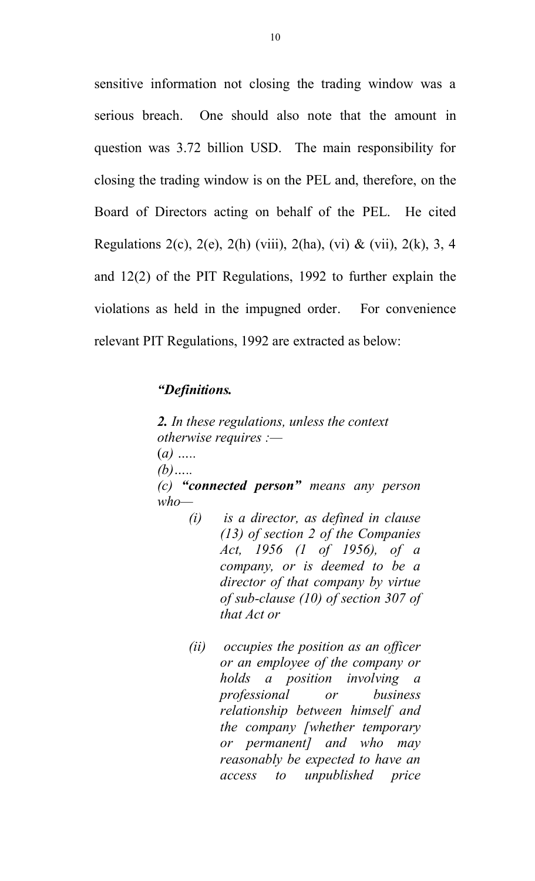sensitive information not closing the trading window was a serious breach. One should also note that the amount in question was 3.72 billion USD. The main responsibility for closing the trading window is on the PEL and, therefore, on the Board of Directors acting on behalf of the PEL. He cited Regulations 2(c), 2(e), 2(h) (viii), 2(ha), (vi) & (vii), 2(k), 3, 4 and 12(2) of the PIT Regulations, 1992 to further explain the violations as held in the impugned order. For convenience relevant PIT Regulations, 1992 are extracted as below:

#### *"Definitions.*

*2. In these regulations, unless the context otherwise requires :—* (*a) ….. (b)….. (c) "connected person" means any person who—*

- *(i) is a director, as defined in clause (13) of section 2 of the Companies Act, 1956 (1 of 1956), of a company, or is deemed to be a director of that company by virtue of sub-clause (10) of section 307 of that Act or*
- *(ii) occupies the position as an officer or an employee of the company or holds a position involving a professional or business relationship between himself and the company [whether temporary or permanent] and who may reasonably be expected to have an access to unpublished price*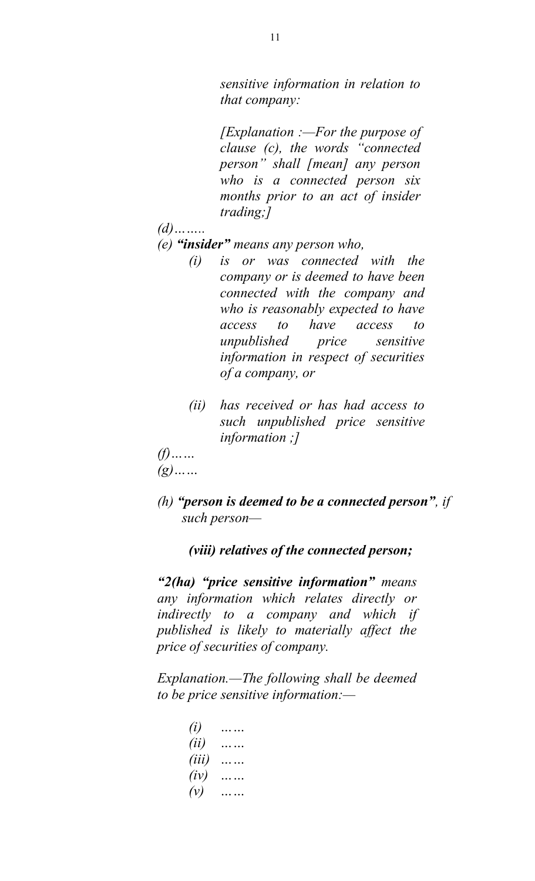*sensitive information in relation to that company:*

*[Explanation :—For the purpose of clause (c), the words "connected person" shall [mean] any person who is a connected person six months prior to an act of insider trading;]*

- *(d)……..*
- *(e) "insider" means any person who,*
	- *(i) is or was connected with the company or is deemed to have been connected with the company and who is reasonably expected to have access to have access to unpublished price sensitive information in respect of securities of a company, or*
	- *(ii) has received or has had access to such unpublished price sensitive information ;]*
- *(f)…… (g)……*
	-
- *(h) "person is deemed to be a connected person", if such person—*

*(viii) relatives of the connected person;* 

*"2(ha) "price sensitive information" means any information which relates directly or indirectly to a company and which if published is likely to materially affect the price of securities of company.*

*Explanation.—The following shall be deemed to be price sensitive information:—*

| (i)      |  |
|----------|--|
| (ii)     |  |
| (iii)    |  |
| $(i\nu)$ |  |
| $(\nu)$  |  |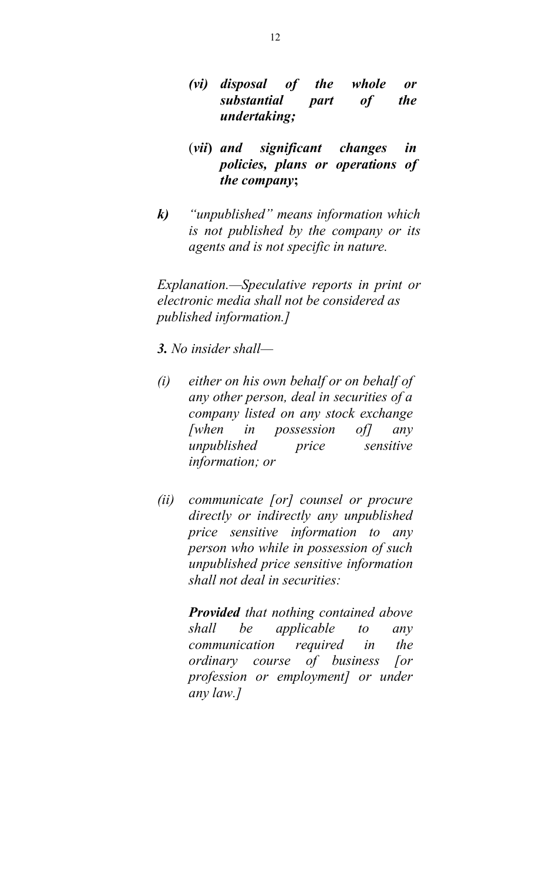- *(vi) disposal of the whole or substantial part of the undertaking;*
- (*vii***)** *and significant changes in policies, plans or operations of the company***;**
- *k) "unpublished" means information which is not published by the company or its agents and is not specific in nature.*

*Explanation.—Speculative reports in print or electronic media shall not be considered as published information.]*

- *3. No insider shall—*
- *(i) either on his own behalf or on behalf of any other person, deal in securities of a company listed on any stock exchange [when in possession of] any unpublished price sensitive information; or*
- *(ii) communicate [or] counsel or procure directly or indirectly any unpublished price sensitive information to any person who while in possession of such unpublished price sensitive information shall not deal in securities:*

*Provided that nothing contained above shall be applicable to any communication required in the ordinary course of business [or profession or employment] or under any law.]*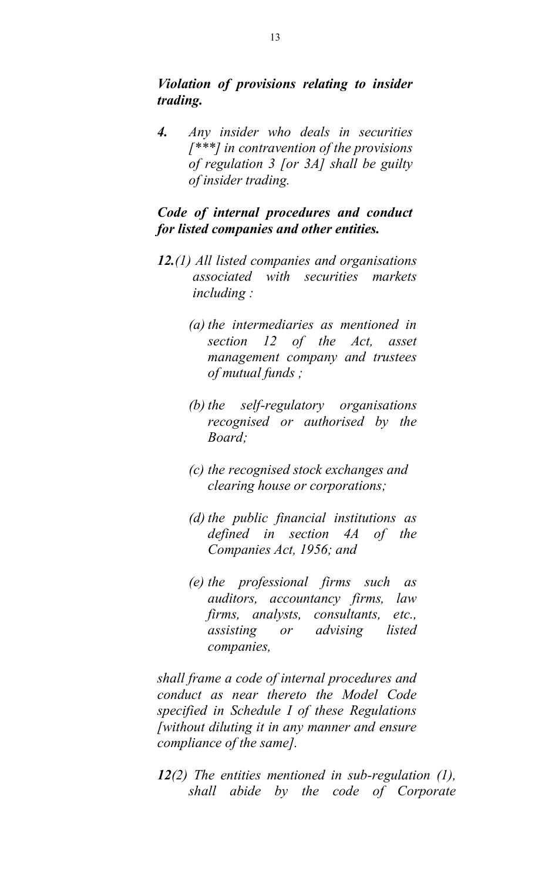*Violation of provisions relating to insider trading.*

*4. Any insider who deals in securities [\*\*\*] in contravention of the provisions of regulation 3 [or 3A] shall be guilty of insider trading.*

### *Code of internal procedures and conduct for listed companies and other entities.*

- *12.(1) All listed companies and organisations associated with securities markets including :*
	- *(a) the intermediaries as mentioned in section 12 of the Act, asset management company and trustees of mutual funds ;*
	- *(b) the self-regulatory organisations recognised or authorised by the Board;*
	- *(c) the recognised stock exchanges and clearing house or corporations;*
	- *(d) the public financial institutions as defined in section 4A of the Companies Act, 1956; and*
	- *(e) the professional firms such as auditors, accountancy firms, law firms, analysts, consultants, etc., assisting or advising listed companies,*

*shall frame a code of internal procedures and conduct as near thereto the Model Code specified in Schedule I of these Regulations [without diluting it in any manner and ensure compliance of the same].*

*12(2) The entities mentioned in sub-regulation (1), shall abide by the code of Corporate*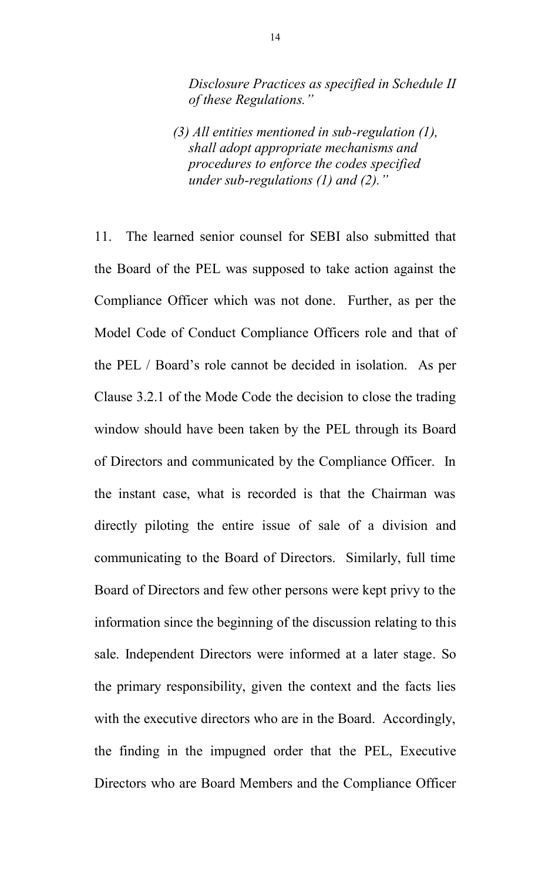*Disclosure Practices as specified in Schedule II of these Regulations."*

*(3) All entities mentioned in sub-regulation (1), shall adopt appropriate mechanisms and procedures to enforce the codes specified under sub-regulations (1) and (2)."*

11. The learned senior counsel for SEBI also submitted that the Board of the PEL was supposed to take action against the Compliance Officer which was not done. Further, as per the Model Code of Conduct Compliance Officers role and that of the PEL / Board's role cannot be decided in isolation. As per Clause 3.2.1 of the Mode Code the decision to close the trading window should have been taken by the PEL through its Board of Directors and communicated by the Compliance Officer. In the instant case, what is recorded is that the Chairman was directly piloting the entire issue of sale of a division and communicating to the Board of Directors. Similarly, full time Board of Directors and few other persons were kept privy to the information since the beginning of the discussion relating to this sale. Independent Directors were informed at a later stage. So the primary responsibility, given the context and the facts lies with the executive directors who are in the Board. Accordingly, the finding in the impugned order that the PEL, Executive Directors who are Board Members and the Compliance Officer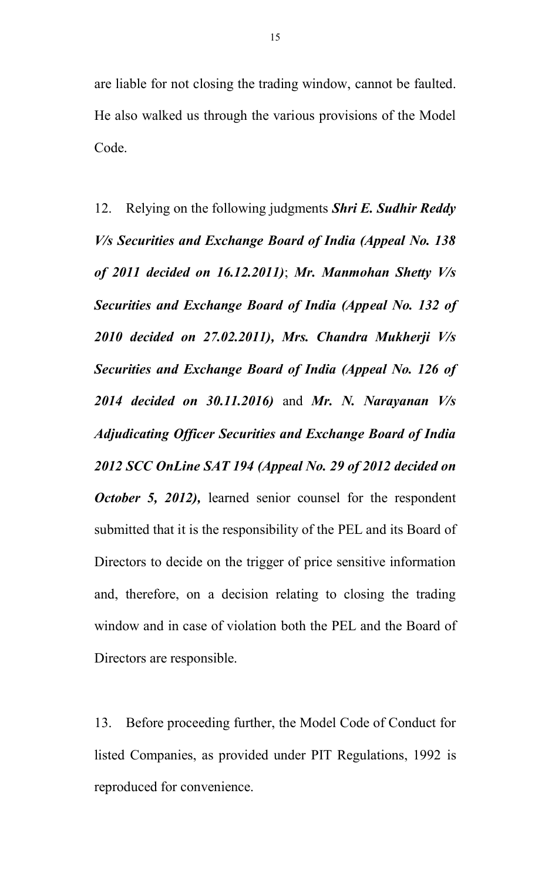are liable for not closing the trading window, cannot be faulted. He also walked us through the various provisions of the Model Code.

12. Relying on the following judgments *Shri E. Sudhir Reddy V/s Securities and Exchange Board of India (Appeal No. 138 of 2011 decided on 16.12.2011)*; *Mr. Manmohan Shetty V/s Securities and Exchange Board of India (Appeal No. 132 of 2010 decided on 27.02.2011), Mrs. Chandra Mukherji V/s Securities and Exchange Board of India (Appeal No. 126 of 2014 decided on 30.11.2016)* and *Mr. N. Narayanan V/s Adjudicating Officer Securities and Exchange Board of India 2012 SCC OnLine SAT 194 (Appeal No. 29 of 2012 decided on October 5, 2012), learned senior counsel for the respondent* submitted that it is the responsibility of the PEL and its Board of Directors to decide on the trigger of price sensitive information and, therefore, on a decision relating to closing the trading window and in case of violation both the PEL and the Board of Directors are responsible.

13. Before proceeding further, the Model Code of Conduct for listed Companies, as provided under PIT Regulations, 1992 is reproduced for convenience.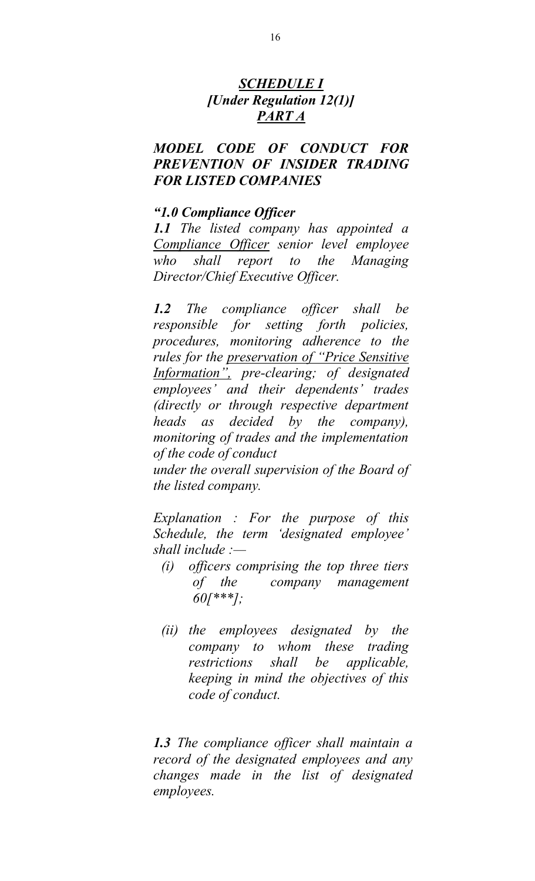# *SCHEDULE I [Under Regulation 12(1)] PART A*

#### *MODEL CODE OF CONDUCT FOR PREVENTION OF INSIDER TRADING FOR LISTED COMPANIES*

#### *"1.0 Compliance Officer*

*1.1 The listed company has appointed a Compliance Officer senior level employee who shall report to the Managing Director/Chief Executive Officer.*

*1.2 The compliance officer shall be responsible for setting forth policies, procedures, monitoring adherence to the rules for the preservation of "Price Sensitive Information", pre-clearing; of designated employees' and their dependents' trades (directly or through respective department heads as decided by the company), monitoring of trades and the implementation of the code of conduct under the overall supervision of the Board of the listed company.*

*Explanation : For the purpose of this Schedule, the term 'designated employee' shall include :—*

- *(i) officers comprising the top three tiers of the company management 60[\*\*\*];*
- *(ii) the employees designated by the company to whom these trading restrictions shall be applicable, keeping in mind the objectives of this code of conduct.*

*1.3 The compliance officer shall maintain a record of the designated employees and any changes made in the list of designated employees.*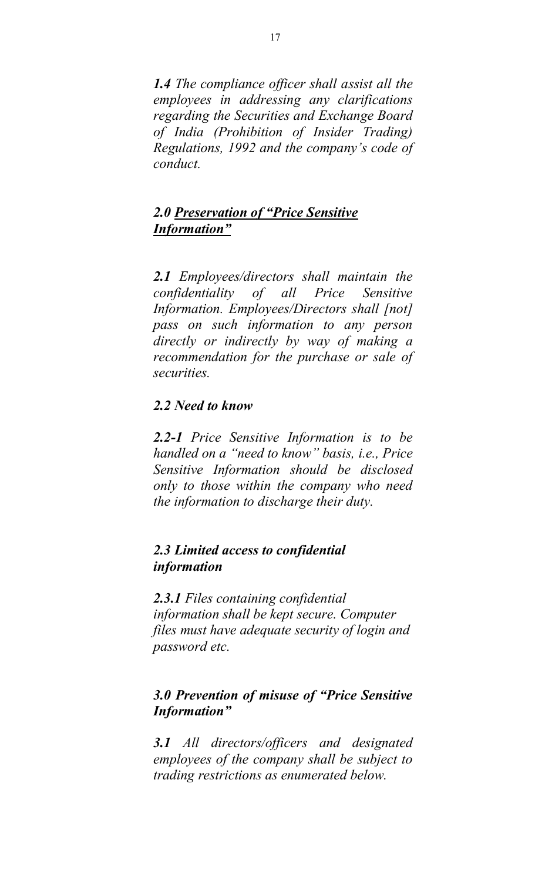*1.4 The compliance officer shall assist all the employees in addressing any clarifications regarding the Securities and Exchange Board of India (Prohibition of Insider Trading) Regulations, 1992 and the company's code of conduct.*

### *2.0 Preservation of "Price Sensitive Information"*

*2.1 Employees/directors shall maintain the confidentiality of all Price Sensitive Information. Employees/Directors shall [not] pass on such information to any person directly or indirectly by way of making a recommendation for the purchase or sale of securities.*

### *2.2 Need to know*

*2.2-1 Price Sensitive Information is to be handled on a "need to know" basis, i.e., Price Sensitive Information should be disclosed only to those within the company who need the information to discharge their duty.*

### *2.3 Limited access to confidential information*

*2.3.1 Files containing confidential information shall be kept secure. Computer files must have adequate security of login and password etc.*

# *3.0 Prevention of misuse of "Price Sensitive Information"*

*3.1 All directors/officers and designated employees of the company shall be subject to trading restrictions as enumerated below.*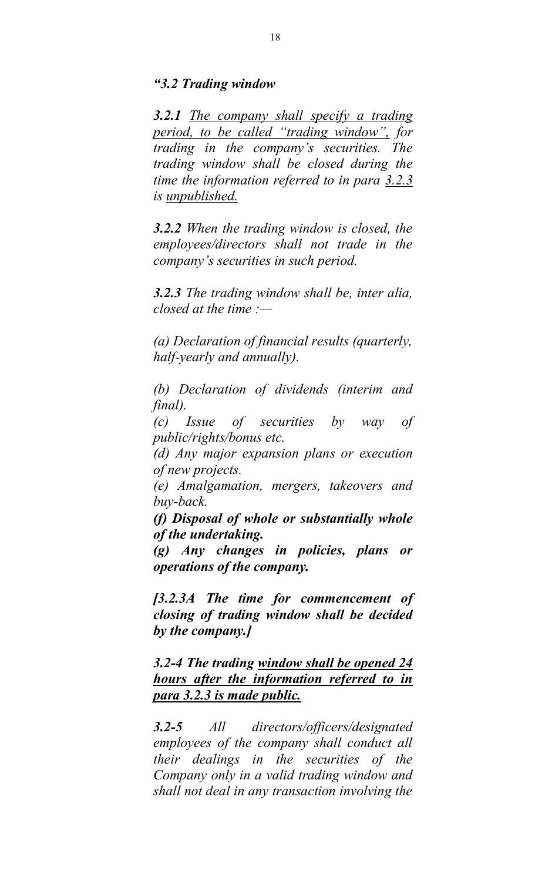#### *"3.2 Trading window*

*3.2.1 The company shall specify a trading period, to be called "trading window", for trading in the company's securities. The trading window shall be closed during the time the information referred to in para 3.2.3 is unpublished.*

*3.2.2 When the trading window is closed, the employees/directors shall not trade in the company's securities in such period.*

*3.2.3 The trading window shall be, inter alia, closed at the time :—*

*(a) Declaration of financial results (quarterly, half-yearly and annually).*

*(b) Declaration of dividends (interim and final).*

*(c) Issue of securities by way of public/rights/bonus etc.*

*(d) Any major expansion plans or execution of new projects.*

*(e) Amalgamation, mergers, takeovers and buy-back.*

*(f) Disposal of whole or substantially whole of the undertaking.*

*(g) Any changes in policies, plans or operations of the company.*

*[3.2.3A The time for commencement of closing of trading window shall be decided by the company.]*

*3.2-4 The trading window shall be opened 24 hours after the information referred to in para 3.2.3 is made public.*

*3.2-5 All directors/officers/designated employees of the company shall conduct all their dealings in the securities of the Company only in a valid trading window and shall not deal in any transaction involving the*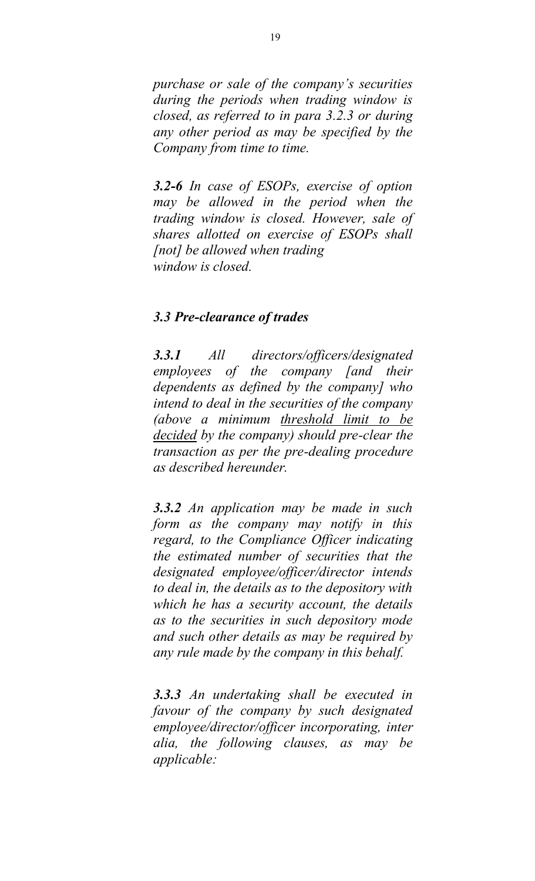*purchase or sale of the company's securities during the periods when trading window is closed, as referred to in para 3.2.3 or during any other period as may be specified by the Company from time to time.*

*3.2-6 In case of ESOPs, exercise of option may be allowed in the period when the trading window is closed. However, sale of shares allotted on exercise of ESOPs shall [not] be allowed when trading window is closed.*

#### *3.3 Pre-clearance of trades*

*3.3.1 All directors/officers/designated employees of the company [and their dependents as defined by the company] who intend to deal in the securities of the company (above a minimum threshold limit to be decided by the company) should pre-clear the transaction as per the pre-dealing procedure as described hereunder.*

*3.3.2 An application may be made in such form as the company may notify in this regard, to the Compliance Officer indicating the estimated number of securities that the designated employee/officer/director intends to deal in, the details as to the depository with which he has a security account, the details as to the securities in such depository mode and such other details as may be required by any rule made by the company in this behalf.*

*3.3.3 An undertaking shall be executed in favour of the company by such designated employee/director/officer incorporating, inter alia, the following clauses, as may be applicable:*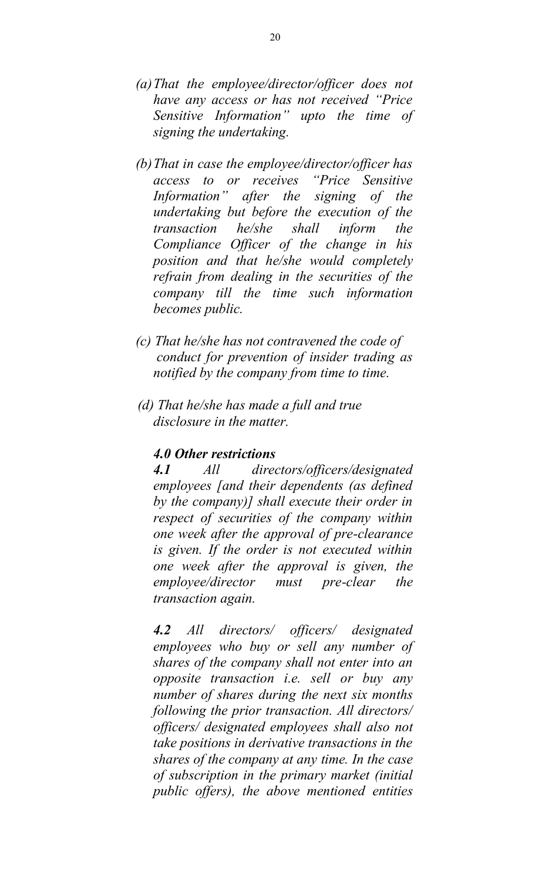- *(a)That the employee/director/officer does not have any access or has not received "Price Sensitive Information" upto the time of signing the undertaking.*
- *(b)That in case the employee/director/officer has access to or receives "Price Sensitive Information" after the signing of the undertaking but before the execution of the transaction he/she shall inform the Compliance Officer of the change in his position and that he/she would completely refrain from dealing in the securities of the company till the time such information becomes public.*
- *(c) That he/she has not contravened the code of conduct for prevention of insider trading as notified by the company from time to time.*
- *(d) That he/she has made a full and true disclosure in the matter.*

#### *4.0 Other restrictions*

*4.1 All directors/officers/designated employees [and their dependents (as defined by the company)] shall execute their order in respect of securities of the company within one week after the approval of pre-clearance is given. If the order is not executed within one week after the approval is given, the employee/director must pre-clear the transaction again.*

*4.2 All directors/ officers/ designated employees who buy or sell any number of shares of the company shall not enter into an opposite transaction i.e. sell or buy any number of shares during the next six months following the prior transaction. All directors/ officers/ designated employees shall also not take positions in derivative transactions in the shares of the company at any time. In the case of subscription in the primary market (initial public offers), the above mentioned entities*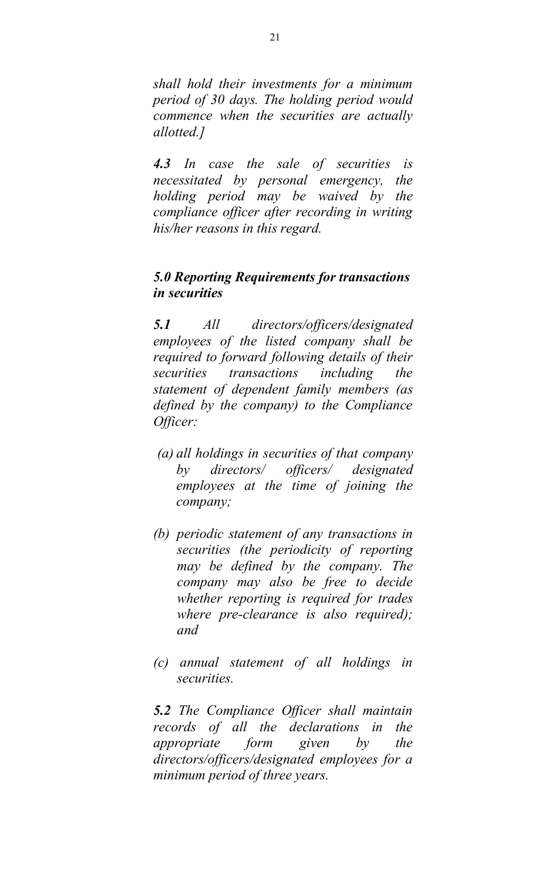*shall hold their investments for a minimum period of 30 days. The holding period would commence when the securities are actually allotted.]*

*4.3 In case the sale of securities is necessitated by personal emergency, the holding period may be waived by the compliance officer after recording in writing his/her reasons in this regard.*

# *5.0 Reporting Requirements for transactions in securities*

*5.1 All directors/officers/designated employees of the listed company shall be required to forward following details of their securities transactions including the statement of dependent family members (as defined by the company) to the Compliance Officer:*

- *(a) all holdings in securities of that company by directors/ officers/ designated employees at the time of joining the company;*
- *(b) periodic statement of any transactions in securities (the periodicity of reporting may be defined by the company. The company may also be free to decide whether reporting is required for trades where pre-clearance is also required); and*
- *(c) annual statement of all holdings in securities.*

*5.2 The Compliance Officer shall maintain records of all the declarations in the appropriate form given by the directors/officers/designated employees for a minimum period of three years.*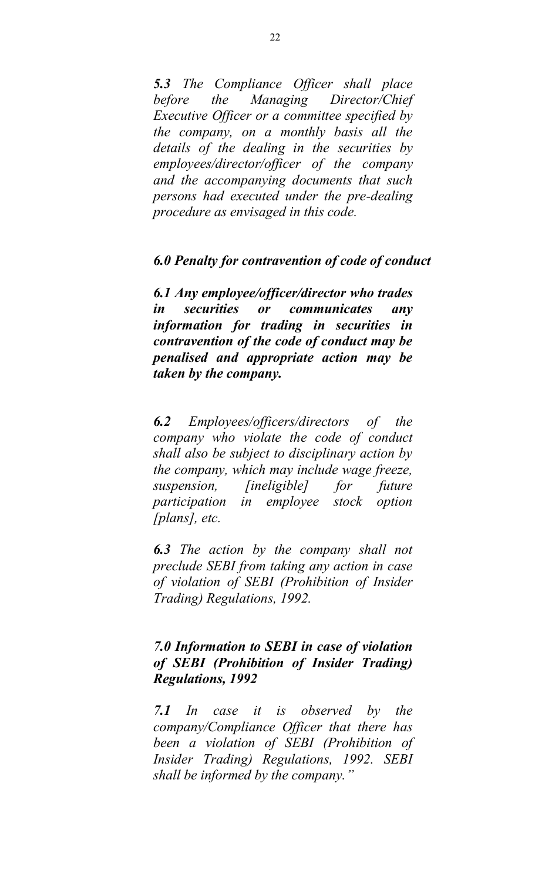*5.3 The Compliance Officer shall place before the Managing Director/Chief Executive Officer or a committee specified by the company, on a monthly basis all the details of the dealing in the securities by employees/director/officer of the company and the accompanying documents that such persons had executed under the pre-dealing procedure as envisaged in this code.*

#### *6.0 Penalty for contravention of code of conduct*

*6.1 Any employee/officer/director who trades in securities or communicates any information for trading in securities in contravention of the code of conduct may be penalised and appropriate action may be taken by the company.*

*6.2 Employees/officers/directors of the company who violate the code of conduct shall also be subject to disciplinary action by the company, which may include wage freeze, suspension, [ineligible] for future participation in employee stock option [plans], etc.*

*6.3 The action by the company shall not preclude SEBI from taking any action in case of violation of SEBI (Prohibition of Insider Trading) Regulations, 1992.*

### *7.0 Information to SEBI in case of violation of SEBI (Prohibition of Insider Trading) Regulations, 1992*

*7.1 In case it is observed by the company/Compliance Officer that there has been a violation of SEBI (Prohibition of Insider Trading) Regulations, 1992. SEBI shall be informed by the company."*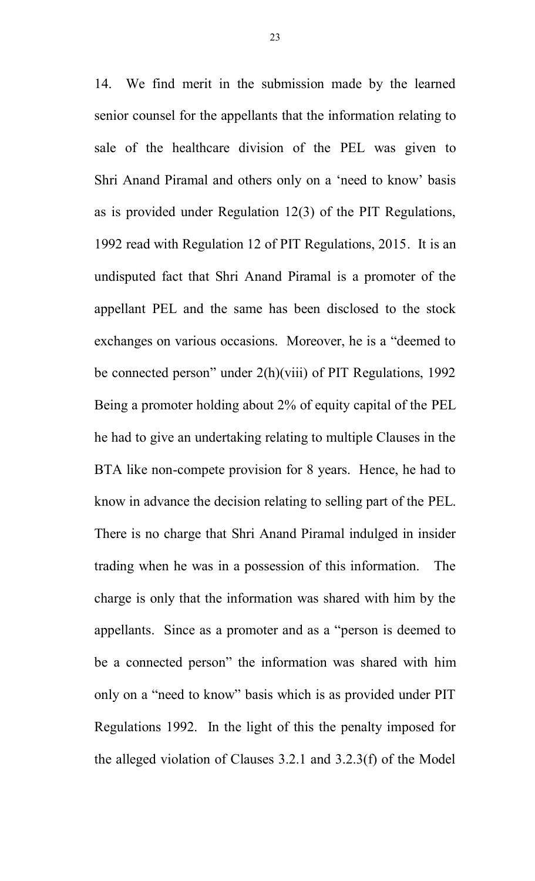14. We find merit in the submission made by the learned senior counsel for the appellants that the information relating to sale of the healthcare division of the PEL was given to Shri Anand Piramal and others only on a 'need to know' basis as is provided under Regulation 12(3) of the PIT Regulations, 1992 read with Regulation 12 of PIT Regulations, 2015. It is an undisputed fact that Shri Anand Piramal is a promoter of the appellant PEL and the same has been disclosed to the stock exchanges on various occasions. Moreover, he is a "deemed to be connected person" under 2(h)(viii) of PIT Regulations, 1992 Being a promoter holding about 2% of equity capital of the PEL he had to give an undertaking relating to multiple Clauses in the BTA like non-compete provision for 8 years. Hence, he had to know in advance the decision relating to selling part of the PEL. There is no charge that Shri Anand Piramal indulged in insider trading when he was in a possession of this information. The charge is only that the information was shared with him by the appellants. Since as a promoter and as a "person is deemed to be a connected person" the information was shared with him only on a "need to know" basis which is as provided under PIT Regulations 1992. In the light of this the penalty imposed for the alleged violation of Clauses 3.2.1 and 3.2.3(f) of the Model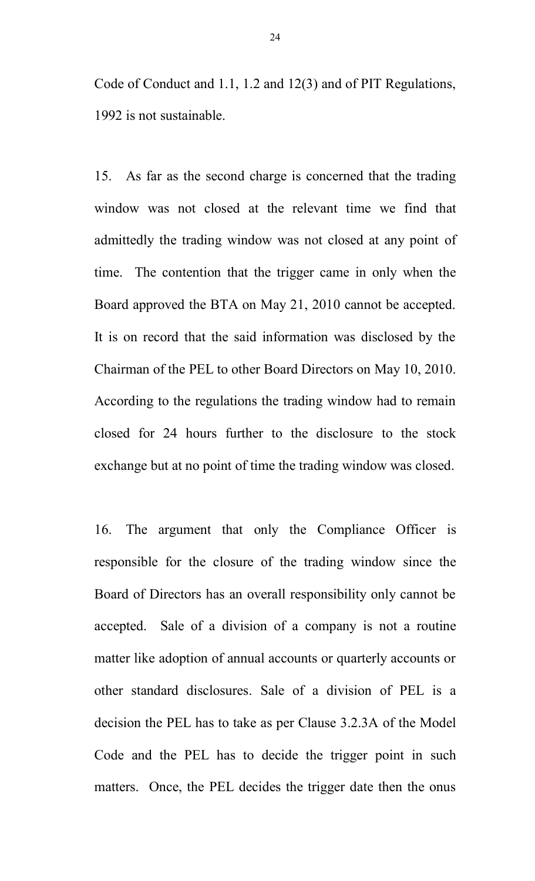Code of Conduct and 1.1, 1.2 and 12(3) and of PIT Regulations, 1992 is not sustainable.

15. As far as the second charge is concerned that the trading window was not closed at the relevant time we find that admittedly the trading window was not closed at any point of time. The contention that the trigger came in only when the Board approved the BTA on May 21, 2010 cannot be accepted. It is on record that the said information was disclosed by the Chairman of the PEL to other Board Directors on May 10, 2010. According to the regulations the trading window had to remain closed for 24 hours further to the disclosure to the stock exchange but at no point of time the trading window was closed.

16. The argument that only the Compliance Officer is responsible for the closure of the trading window since the Board of Directors has an overall responsibility only cannot be accepted. Sale of a division of a company is not a routine matter like adoption of annual accounts or quarterly accounts or other standard disclosures. Sale of a division of PEL is a decision the PEL has to take as per Clause 3.2.3A of the Model Code and the PEL has to decide the trigger point in such matters. Once, the PEL decides the trigger date then the onus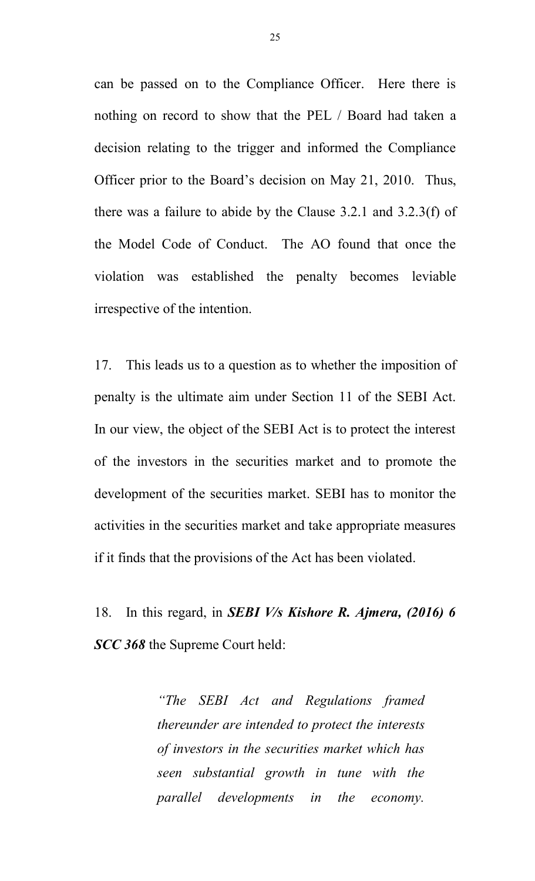can be passed on to the Compliance Officer. Here there is nothing on record to show that the PEL / Board had taken a decision relating to the trigger and informed the Compliance Officer prior to the Board's decision on May 21, 2010. Thus, there was a failure to abide by the Clause 3.2.1 and 3.2.3(f) of the Model Code of Conduct. The AO found that once the violation was established the penalty becomes leviable irrespective of the intention.

17. This leads us to a question as to whether the imposition of penalty is the ultimate aim under Section 11 of the SEBI Act. In our view, the object of the SEBI Act is to protect the interest of the investors in the securities market and to promote the development of the securities market. SEBI has to monitor the activities in the securities market and take appropriate measures if it finds that the provisions of the Act has been violated.

18. In this regard, in *SEBI V/s Kishore R. Ajmera, (2016) 6 SCC 368* the Supreme Court held:

> *"The SEBI Act and Regulations framed thereunder are intended to protect the interests of investors in the securities market which has seen substantial growth in tune with the parallel developments in the economy.*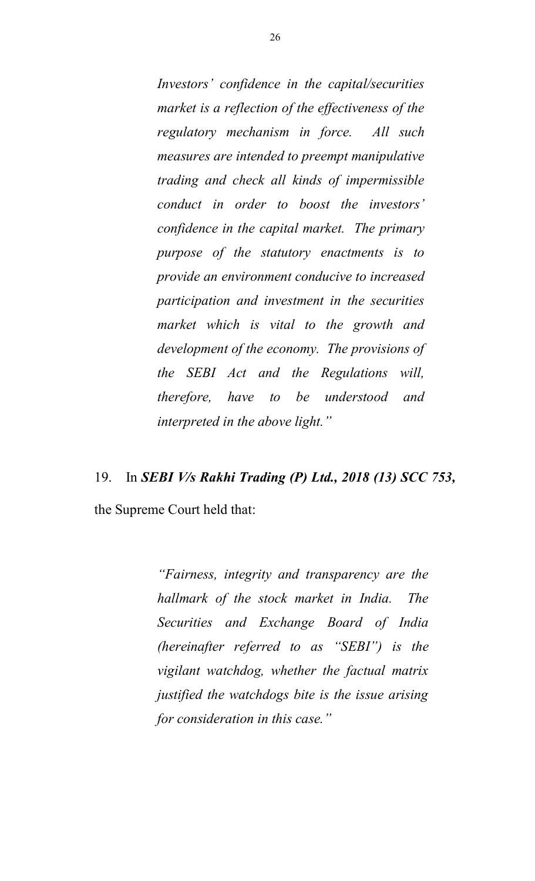*Investors' confidence in the capital/securities market is a reflection of the effectiveness of the regulatory mechanism in force. All such measures are intended to preempt manipulative trading and check all kinds of impermissible conduct in order to boost the investors' confidence in the capital market. The primary purpose of the statutory enactments is to provide an environment conducive to increased participation and investment in the securities market which is vital to the growth and development of the economy. The provisions of the SEBI Act and the Regulations will, therefore, have to be understood and interpreted in the above light."*

# 19. In *SEBI V/s Rakhi Trading (P) Ltd., 2018 (13) SCC 753,*

the Supreme Court held that:

*"Fairness, integrity and transparency are the hallmark of the stock market in India. The Securities and Exchange Board of India (hereinafter referred to as "SEBI") is the vigilant watchdog, whether the factual matrix justified the watchdogs bite is the issue arising for consideration in this case."*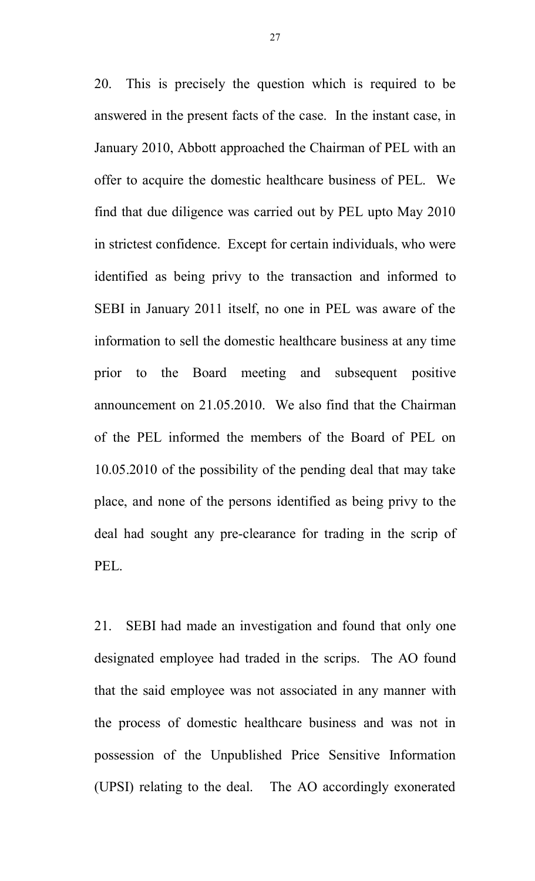20. This is precisely the question which is required to be answered in the present facts of the case. In the instant case, in January 2010, Abbott approached the Chairman of PEL with an offer to acquire the domestic healthcare business of PEL. We find that due diligence was carried out by PEL upto May 2010 in strictest confidence. Except for certain individuals, who were identified as being privy to the transaction and informed to SEBI in January 2011 itself, no one in PEL was aware of the information to sell the domestic healthcare business at any time prior to the Board meeting and subsequent positive announcement on 21.05.2010. We also find that the Chairman of the PEL informed the members of the Board of PEL on 10.05.2010 of the possibility of the pending deal that may take place, and none of the persons identified as being privy to the deal had sought any pre-clearance for trading in the scrip of PEL.

21. SEBI had made an investigation and found that only one designated employee had traded in the scrips. The AO found that the said employee was not associated in any manner with the process of domestic healthcare business and was not in possession of the Unpublished Price Sensitive Information (UPSI) relating to the deal. The AO accordingly exonerated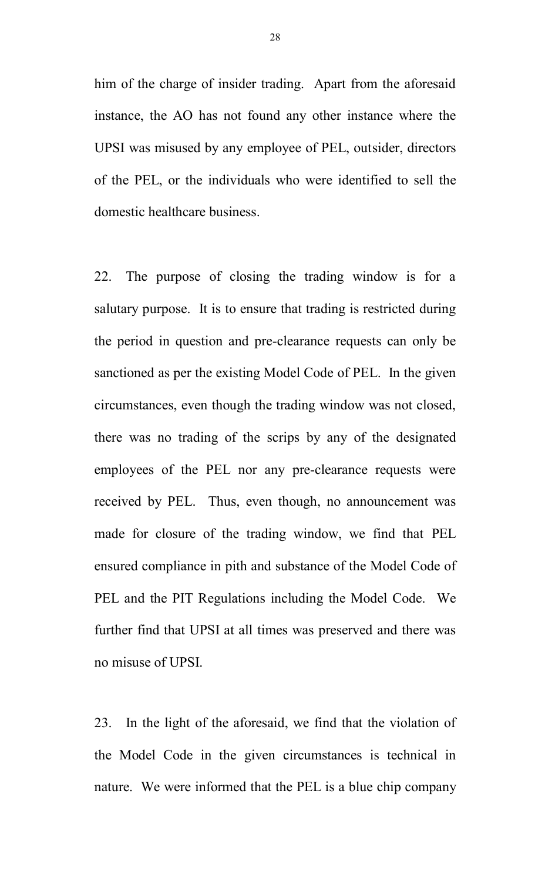him of the charge of insider trading. Apart from the aforesaid instance, the AO has not found any other instance where the UPSI was misused by any employee of PEL, outsider, directors of the PEL, or the individuals who were identified to sell the domestic healthcare business.

22. The purpose of closing the trading window is for a salutary purpose. It is to ensure that trading is restricted during the period in question and pre-clearance requests can only be sanctioned as per the existing Model Code of PEL. In the given circumstances, even though the trading window was not closed, there was no trading of the scrips by any of the designated employees of the PEL nor any pre-clearance requests were received by PEL. Thus, even though, no announcement was made for closure of the trading window, we find that PEL ensured compliance in pith and substance of the Model Code of PEL and the PIT Regulations including the Model Code. We further find that UPSI at all times was preserved and there was no misuse of UPSI.

23. In the light of the aforesaid, we find that the violation of the Model Code in the given circumstances is technical in nature. We were informed that the PEL is a blue chip company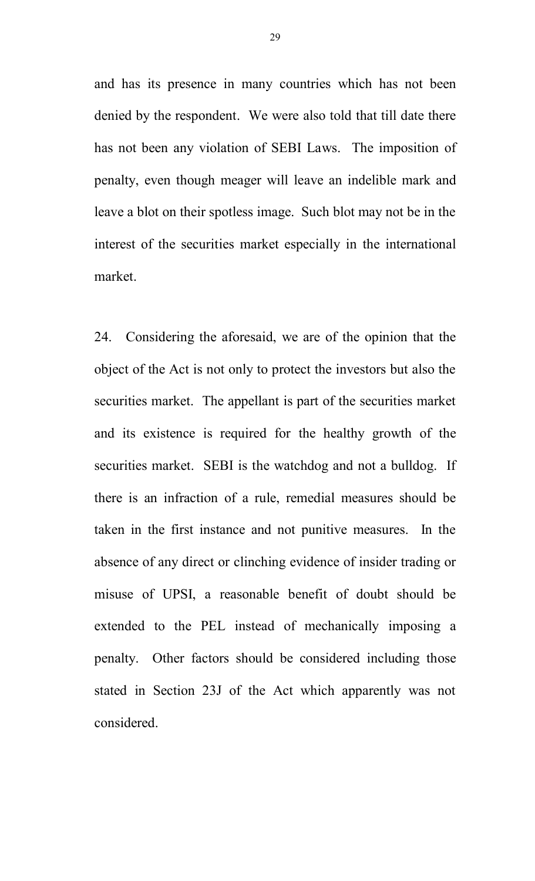and has its presence in many countries which has not been denied by the respondent. We were also told that till date there has not been any violation of SEBI Laws. The imposition of penalty, even though meager will leave an indelible mark and leave a blot on their spotless image. Such blot may not be in the interest of the securities market especially in the international market.

24. Considering the aforesaid, we are of the opinion that the object of the Act is not only to protect the investors but also the securities market. The appellant is part of the securities market and its existence is required for the healthy growth of the securities market. SEBI is the watchdog and not a bulldog. If there is an infraction of a rule, remedial measures should be taken in the first instance and not punitive measures. In the absence of any direct or clinching evidence of insider trading or misuse of UPSI, a reasonable benefit of doubt should be extended to the PEL instead of mechanically imposing a penalty. Other factors should be considered including those stated in Section 23J of the Act which apparently was not considered.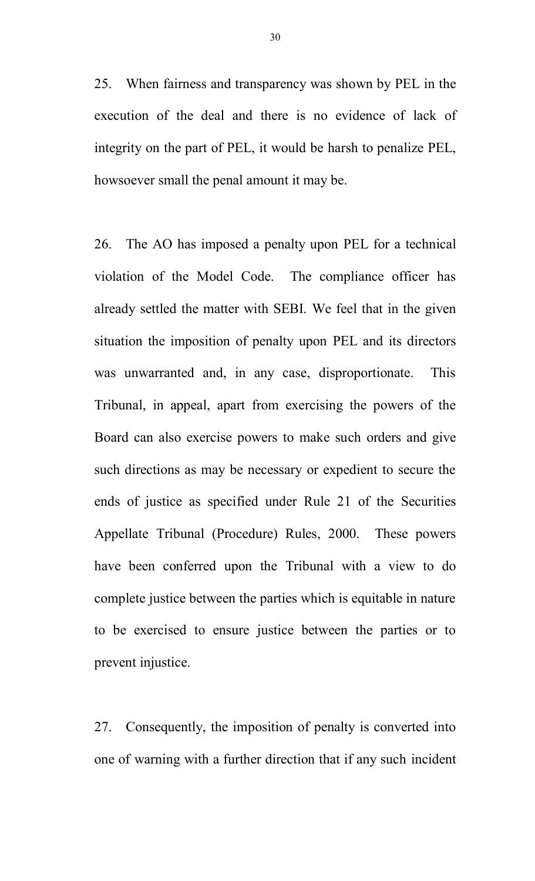25. When fairness and transparency was shown by PEL in the execution of the deal and there is no evidence of lack of integrity on the part of PEL, it would be harsh to penalize PEL, howsoever small the penal amount it may be.

26. The AO has imposed a penalty upon PEL for a technical violation of the Model Code. The compliance officer has already settled the matter with SEBI. We feel that in the given situation the imposition of penalty upon PEL and its directors was unwarranted and, in any case, disproportionate. This Tribunal, in appeal, apart from exercising the powers of the Board can also exercise powers to make such orders and give such directions as may be necessary or expedient to secure the ends of justice as specified under Rule 21 of the Securities Appellate Tribunal (Procedure) Rules, 2000. These powers have been conferred upon the Tribunal with a view to do complete justice between the parties which is equitable in nature to be exercised to ensure justice between the parties or to prevent injustice.

27. Consequently, the imposition of penalty is converted into one of warning with a further direction that if any such incident